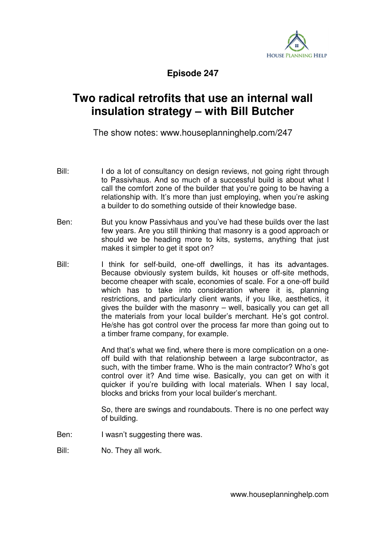

**Episode 247** 

## **Two radical retrofits that use an internal wall insulation strategy – with Bill Butcher**

The show notes: www.houseplanninghelp.com/247

- Bill: I do a lot of consultancy on design reviews, not going right through to Passivhaus. And so much of a successful build is about what I call the comfort zone of the builder that you're going to be having a relationship with. It's more than just employing, when you're asking a builder to do something outside of their knowledge base.
- Ben: But you know Passivhaus and you've had these builds over the last few years. Are you still thinking that masonry is a good approach or should we be heading more to kits, systems, anything that just makes it simpler to get it spot on?
- Bill: I think for self-build, one-off dwellings, it has its advantages. Because obviously system builds, kit houses or off-site methods, become cheaper with scale, economies of scale. For a one-off build which has to take into consideration where it is, planning restrictions, and particularly client wants, if you like, aesthetics, it gives the builder with the masonry – well, basically you can get all the materials from your local builder's merchant. He's got control. He/she has got control over the process far more than going out to a timber frame company, for example.

 And that's what we find, where there is more complication on a oneoff build with that relationship between a large subcontractor, as such, with the timber frame. Who is the main contractor? Who's got control over it? And time wise. Basically, you can get on with it quicker if you're building with local materials. When I say local, blocks and bricks from your local builder's merchant.

 So, there are swings and roundabouts. There is no one perfect way of building.

Ben: I wasn't suggesting there was.

Bill: No. They all work.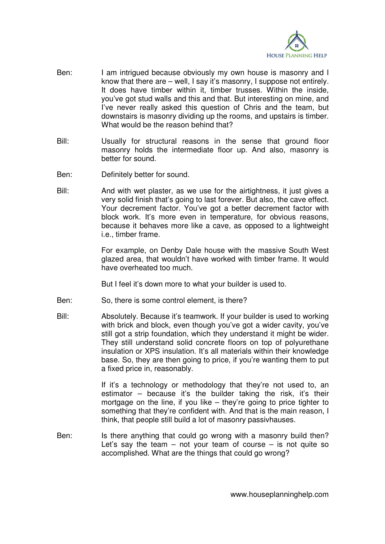

- Ben: I am intrigued because obviously my own house is masonry and I know that there are – well, I say it's masonry, I suppose not entirely. It does have timber within it, timber trusses. Within the inside, you've got stud walls and this and that. But interesting on mine, and I've never really asked this question of Chris and the team, but downstairs is masonry dividing up the rooms, and upstairs is timber. What would be the reason behind that?
- Bill: Usually for structural reasons in the sense that ground floor masonry holds the intermediate floor up. And also, masonry is better for sound.
- Ben: Definitely better for sound.
- Bill: And with wet plaster, as we use for the airtightness, it just gives a very solid finish that's going to last forever. But also, the cave effect. Your decrement factor. You've got a better decrement factor with block work. It's more even in temperature, for obvious reasons, because it behaves more like a cave, as opposed to a lightweight i.e., timber frame.

 For example, on Denby Dale house with the massive South West glazed area, that wouldn't have worked with timber frame. It would have overheated too much.

But I feel it's down more to what your builder is used to.

- Ben: So, there is some control element, is there?
- Bill: Absolutely. Because it's teamwork. If your builder is used to working with brick and block, even though you've got a wider cavity, you've still got a strip foundation, which they understand it might be wider. They still understand solid concrete floors on top of polyurethane insulation or XPS insulation. It's all materials within their knowledge base. So, they are then going to price, if you're wanting them to put a fixed price in, reasonably.

If it's a technology or methodology that they're not used to, an estimator – because it's the builder taking the risk, it's their mortgage on the line, if you like – they're going to price tighter to something that they're confident with. And that is the main reason, I think, that people still build a lot of masonry passivhauses.

Ben: Is there anything that could go wrong with a masonry build then? Let's say the team  $-$  not your team of course  $-$  is not quite so accomplished. What are the things that could go wrong?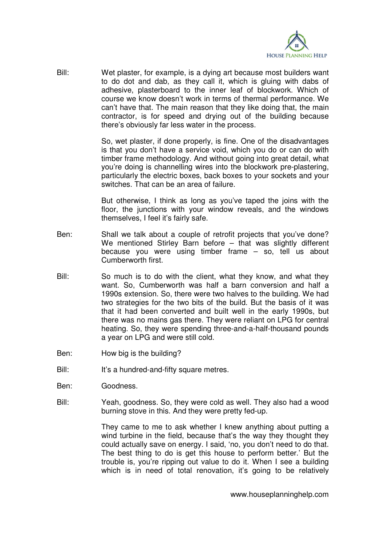

Bill: Wet plaster, for example, is a dying art because most builders want to do dot and dab, as they call it, which is gluing with dabs of adhesive, plasterboard to the inner leaf of blockwork. Which of course we know doesn't work in terms of thermal performance. We can't have that. The main reason that they like doing that, the main contractor, is for speed and drying out of the building because there's obviously far less water in the process.

> So, wet plaster, if done properly, is fine. One of the disadvantages is that you don't have a service void, which you do or can do with timber frame methodology. And without going into great detail, what you're doing is channelling wires into the blockwork pre-plastering, particularly the electric boxes, back boxes to your sockets and your switches. That can be an area of failure.

> But otherwise, I think as long as you've taped the joins with the floor, the junctions with your window reveals, and the windows themselves, I feel it's fairly safe.

- Ben: Shall we talk about a couple of retrofit projects that you've done? We mentioned Stirley Barn before – that was slightly different because you were using timber frame – so, tell us about Cumberworth first.
- Bill: So much is to do with the client, what they know, and what they want. So, Cumberworth was half a barn conversion and half a 1990s extension. So, there were two halves to the building. We had two strategies for the two bits of the build. But the basis of it was that it had been converted and built well in the early 1990s, but there was no mains gas there. They were reliant on LPG for central heating. So, they were spending three-and-a-half-thousand pounds a year on LPG and were still cold.
- Ben: How big is the building?
- Bill: It's a hundred-and-fifty square metres.
- Ben: Goodness.
- Bill: Yeah, goodness. So, they were cold as well. They also had a wood burning stove in this. And they were pretty fed-up.

 They came to me to ask whether I knew anything about putting a wind turbine in the field, because that's the way they thought they could actually save on energy. I said, 'no, you don't need to do that. The best thing to do is get this house to perform better.' But the trouble is, you're ripping out value to do it. When I see a building which is in need of total renovation, it's going to be relatively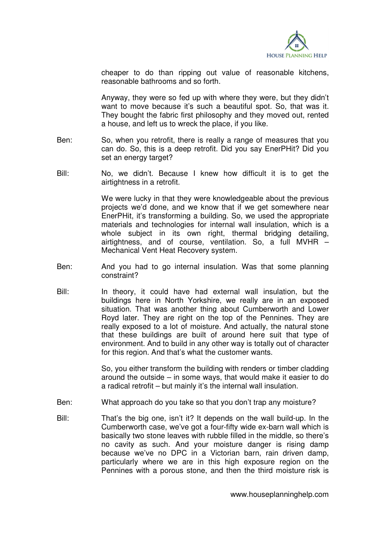

cheaper to do than ripping out value of reasonable kitchens, reasonable bathrooms and so forth.

 Anyway, they were so fed up with where they were, but they didn't want to move because it's such a beautiful spot. So, that was it. They bought the fabric first philosophy and they moved out, rented a house, and left us to wreck the place, if you like.

- Ben: So, when you retrofit, there is really a range of measures that you can do. So, this is a deep retrofit. Did you say EnerPHit? Did you set an energy target?
- Bill: No, we didn't. Because I knew how difficult it is to get the airtightness in a retrofit.

 We were lucky in that they were knowledgeable about the previous projects we'd done, and we know that if we get somewhere near EnerPHit, it's transforming a building. So, we used the appropriate materials and technologies for internal wall insulation, which is a whole subject in its own right, thermal bridging detailing, airtightness, and of course, ventilation. So, a full MVHR – Mechanical Vent Heat Recovery system.

- Ben: And you had to go internal insulation. Was that some planning constraint?
- Bill: In theory, it could have had external wall insulation, but the buildings here in North Yorkshire, we really are in an exposed situation. That was another thing about Cumberworth and Lower Royd later. They are right on the top of the Pennines. They are really exposed to a lot of moisture. And actually, the natural stone that these buildings are built of around here suit that type of environment. And to build in any other way is totally out of character for this region. And that's what the customer wants.

 So, you either transform the building with renders or timber cladding around the outside – in some ways, that would make it easier to do a radical retrofit – but mainly it's the internal wall insulation.

- Ben: What approach do you take so that you don't trap any moisture?
- Bill: That's the big one, isn't it? It depends on the wall build-up. In the Cumberworth case, we've got a four-fifty wide ex-barn wall which is basically two stone leaves with rubble filled in the middle, so there's no cavity as such. And your moisture danger is rising damp because we've no DPC in a Victorian barn, rain driven damp, particularly where we are in this high exposure region on the Pennines with a porous stone, and then the third moisture risk is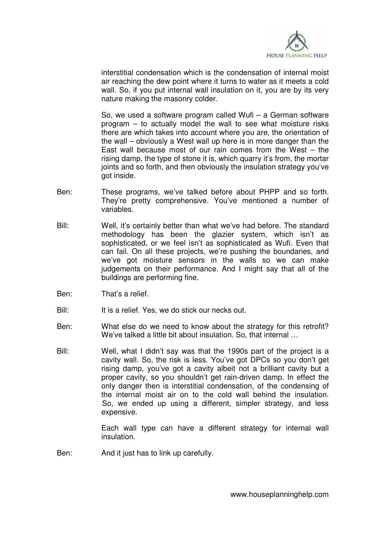

interstitial condensation which is the condensation of internal moist air reaching the dew point where it turns to water as it meets a cold wall. So, if you put internal wall insulation on it, you are by its very nature making the masonry colder.

 So, we used a software program called Wufi – a German software program – to actually model the wall to see what moisture risks there are which takes into account where you are, the orientation of the wall – obviously a West wall up here is in more danger than the East wall because most of our rain comes from the West  $-$  the rising damp, the type of stone it is, which quarry it's from, the mortar joints and so forth, and then obviously the insulation strategy you've got inside.

- Ben: These programs, we've talked before about PHPP and so forth. They're pretty comprehensive. You've mentioned a number of variables.
- Bill: Well, it's certainly better than what we've had before. The standard methodology has been the glazier system, which isn't as sophisticated, or we feel isn't as sophisticated as Wufi. Even that can fail. On all these projects, we're pushing the boundaries, and we've got moisture sensors in the walls so we can make judgements on their performance. And I might say that all of the buildings are performing fine.
- Ben: That's a relief.
- Bill: It is a relief. Yes, we do stick our necks out.
- Ben: What else do we need to know about the strategy for this retrofit? We've talked a little bit about insulation. So, that internal …
- Bill: Well, what I didn't say was that the 1990s part of the project is a cavity wall. So, the risk is less. You've got DPCs so you don't get rising damp, you've got a cavity albeit not a brilliant cavity but a proper cavity, so you shouldn't get rain-driven damp. In effect the only danger then is interstitial condensation, of the condensing of the internal moist air on to the cold wall behind the insulation. So, we ended up using a different, simpler strategy, and less expensive.

 Each wall type can have a different strategy for internal wall insulation.

Ben: And it just has to link up carefully.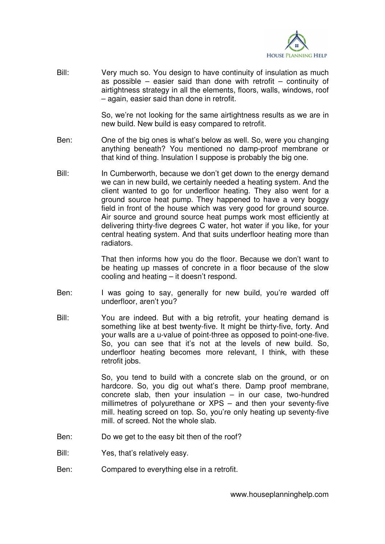

Bill: Very much so. You design to have continuity of insulation as much as possible  $-$  easier said than done with retrofit  $-$  continuity of airtightness strategy in all the elements, floors, walls, windows, roof – again, easier said than done in retrofit.

> So, we're not looking for the same airtightness results as we are in new build. New build is easy compared to retrofit.

- Ben: One of the big ones is what's below as well. So, were you changing anything beneath? You mentioned no damp-proof membrane or that kind of thing. Insulation I suppose is probably the big one.
- Bill: In Cumberworth, because we don't get down to the energy demand we can in new build, we certainly needed a heating system. And the client wanted to go for underfloor heating. They also went for a ground source heat pump. They happened to have a very boggy field in front of the house which was very good for ground source. Air source and ground source heat pumps work most efficiently at delivering thirty-five degrees C water, hot water if you like, for your central heating system. And that suits underfloor heating more than radiators.

 That then informs how you do the floor. Because we don't want to be heating up masses of concrete in a floor because of the slow cooling and heating – it doesn't respond.

- Ben: I was going to say, generally for new build, you're warded off underfloor, aren't you?
- Bill: You are indeed. But with a big retrofit, your heating demand is something like at best twenty-five. It might be thirty-five, forty. And your walls are a u-value of point-three as opposed to point-one-five. So, you can see that it's not at the levels of new build. So, underfloor heating becomes more relevant, I think, with these retrofit jobs.

 So, you tend to build with a concrete slab on the ground, or on hardcore. So, you dig out what's there. Damp proof membrane, concrete slab, then your insulation  $-$  in our case, two-hundred millimetres of polyurethane or XPS – and then your seventy-five mill. heating screed on top. So, you're only heating up seventy-five mill. of screed. Not the whole slab.

- Ben: Do we get to the easy bit then of the roof?
- Bill: Yes, that's relatively easy.
- Ben: Compared to everything else in a retrofit.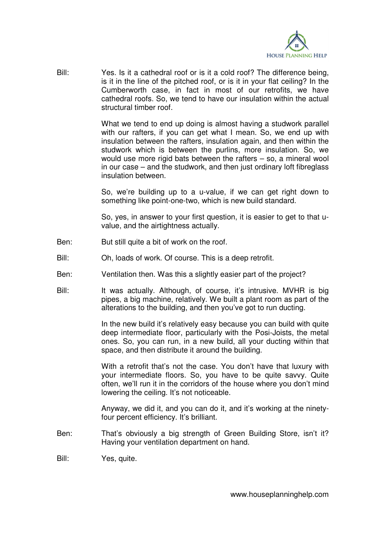

Bill: Yes. Is it a cathedral roof or is it a cold roof? The difference being, is it in the line of the pitched roof, or is it in your flat ceiling? In the Cumberworth case, in fact in most of our retrofits, we have cathedral roofs. So, we tend to have our insulation within the actual structural timber roof.

> What we tend to end up doing is almost having a studwork parallel with our rafters, if you can get what I mean. So, we end up with insulation between the rafters, insulation again, and then within the studwork which is between the purlins, more insulation. So, we would use more rigid bats between the rafters – so, a mineral wool in our case – and the studwork, and then just ordinary loft fibreglass insulation between.

> So, we're building up to a u-value, if we can get right down to something like point-one-two, which is new build standard.

> So, yes, in answer to your first question, it is easier to get to that uvalue, and the airtightness actually.

- Ben: But still quite a bit of work on the roof.
- Bill: Oh, loads of work. Of course. This is a deep retrofit.
- Ben: Ventilation then. Was this a slightly easier part of the project?
- Bill: It was actually. Although, of course, it's intrusive. MVHR is big pipes, a big machine, relatively. We built a plant room as part of the alterations to the building, and then you've got to run ducting.

 In the new build it's relatively easy because you can build with quite deep intermediate floor, particularly with the Posi-Joists, the metal ones. So, you can run, in a new build, all your ducting within that space, and then distribute it around the building.

 With a retrofit that's not the case. You don't have that luxury with your intermediate floors. So, you have to be quite savvy. Quite often, we'll run it in the corridors of the house where you don't mind lowering the ceiling. It's not noticeable.

 Anyway, we did it, and you can do it, and it's working at the ninetyfour percent efficiency. It's brilliant.

- Ben: That's obviously a big strength of Green Building Store, isn't it? Having your ventilation department on hand.
- Bill: Yes, quite.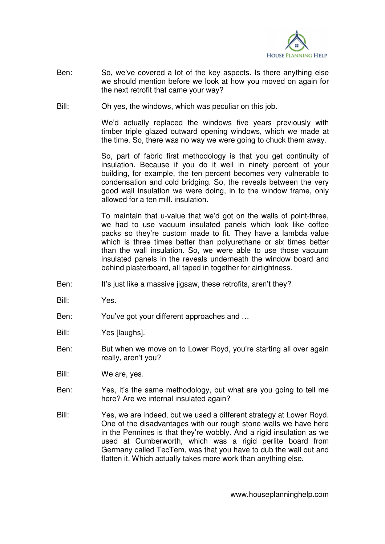

- Ben: So, we've covered a lot of the key aspects. Is there anything else we should mention before we look at how you moved on again for the next retrofit that came your way?
- Bill: Oh yes, the windows, which was peculiar on this job.

 We'd actually replaced the windows five years previously with timber triple glazed outward opening windows, which we made at the time. So, there was no way we were going to chuck them away.

 So, part of fabric first methodology is that you get continuity of insulation. Because if you do it well in ninety percent of your building, for example, the ten percent becomes very vulnerable to condensation and cold bridging. So, the reveals between the very good wall insulation we were doing, in to the window frame, only allowed for a ten mill. insulation.

 To maintain that u-value that we'd got on the walls of point-three, we had to use vacuum insulated panels which look like coffee packs so they're custom made to fit. They have a lambda value which is three times better than polyurethane or six times better than the wall insulation. So, we were able to use those vacuum insulated panels in the reveals underneath the window board and behind plasterboard, all taped in together for airtightness.

- Ben: It's just like a massive jigsaw, these retrofits, aren't they?
- Bill: Yes.
- Ben: You've got your different approaches and …
- Bill: Yes [laughs].
- Ben: But when we move on to Lower Royd, you're starting all over again really, aren't you?
- Bill: We are, yes.
- Ben: Yes, it's the same methodology, but what are you going to tell me here? Are we internal insulated again?
- Bill: Yes, we are indeed, but we used a different strategy at Lower Royd. One of the disadvantages with our rough stone walls we have here in the Pennines is that they're wobbly. And a rigid insulation as we used at Cumberworth, which was a rigid perlite board from Germany called TecTem, was that you have to dub the wall out and flatten it. Which actually takes more work than anything else.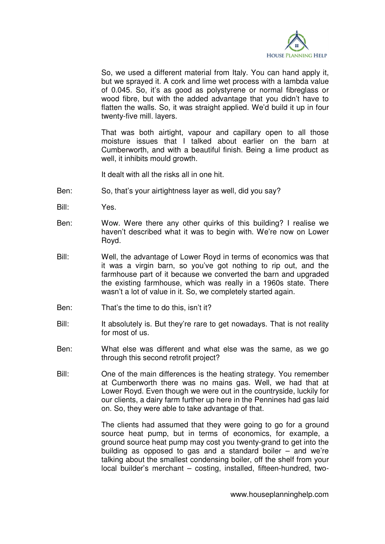

 So, we used a different material from Italy. You can hand apply it, but we sprayed it. A cork and lime wet process with a lambda value of 0.045. So, it's as good as polystyrene or normal fibreglass or wood fibre, but with the added advantage that you didn't have to flatten the walls. So, it was straight applied. We'd build it up in four twenty-five mill. layers.

 That was both airtight, vapour and capillary open to all those moisture issues that I talked about earlier on the barn at Cumberworth, and with a beautiful finish. Being a lime product as well, it inhibits mould growth.

It dealt with all the risks all in one hit.

- Ben: So, that's your airtightness layer as well, did you say?
- Bill: Yes.
- Ben: Wow. Were there any other quirks of this building? I realise we haven't described what it was to begin with. We're now on Lower Royd.
- Bill: Well, the advantage of Lower Royd in terms of economics was that it was a virgin barn, so you've got nothing to rip out, and the farmhouse part of it because we converted the barn and upgraded the existing farmhouse, which was really in a 1960s state. There wasn't a lot of value in it. So, we completely started again.
- Ben: That's the time to do this, isn't it?
- Bill: It absolutely is. But they're rare to get nowadays. That is not reality for most of us.
- Ben: What else was different and what else was the same, as we go through this second retrofit project?
- Bill: One of the main differences is the heating strategy. You remember at Cumberworth there was no mains gas. Well, we had that at Lower Royd. Even though we were out in the countryside, luckily for our clients, a dairy farm further up here in the Pennines had gas laid on. So, they were able to take advantage of that.

 The clients had assumed that they were going to go for a ground source heat pump, but in terms of economics, for example, a ground source heat pump may cost you twenty-grand to get into the building as opposed to gas and a standard boiler – and we're talking about the smallest condensing boiler, off the shelf from your local builder's merchant – costing, installed, fifteen-hundred, two-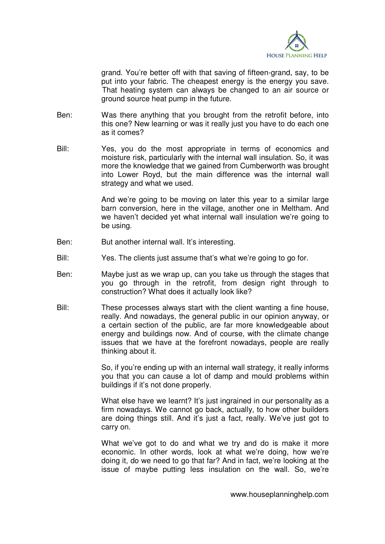

grand. You're better off with that saving of fifteen-grand, say, to be put into your fabric. The cheapest energy is the energy you save. That heating system can always be changed to an air source or ground source heat pump in the future.

- Ben: Was there anything that you brought from the retrofit before, into this one? New learning or was it really just you have to do each one as it comes?
- Bill: Yes, you do the most appropriate in terms of economics and moisture risk, particularly with the internal wall insulation. So, it was more the knowledge that we gained from Cumberworth was brought into Lower Royd, but the main difference was the internal wall strategy and what we used.

 And we're going to be moving on later this year to a similar large barn conversion, here in the village, another one in Meltham. And we haven't decided yet what internal wall insulation we're going to be using.

- Ben: But another internal wall. It's interesting.
- Bill: Yes. The clients just assume that's what we're going to go for.
- Ben: Maybe just as we wrap up, can you take us through the stages that you go through in the retrofit, from design right through to construction? What does it actually look like?
- Bill: These processes always start with the client wanting a fine house, really. And nowadays, the general public in our opinion anyway, or a certain section of the public, are far more knowledgeable about energy and buildings now. And of course, with the climate change issues that we have at the forefront nowadays, people are really thinking about it.

 So, if you're ending up with an internal wall strategy, it really informs you that you can cause a lot of damp and mould problems within buildings if it's not done properly.

What else have we learnt? It's just ingrained in our personality as a firm nowadays. We cannot go back, actually, to how other builders are doing things still. And it's just a fact, really. We've just got to carry on.

 What we've got to do and what we try and do is make it more economic. In other words, look at what we're doing, how we're doing it, do we need to go that far? And in fact, we're looking at the issue of maybe putting less insulation on the wall. So, we're